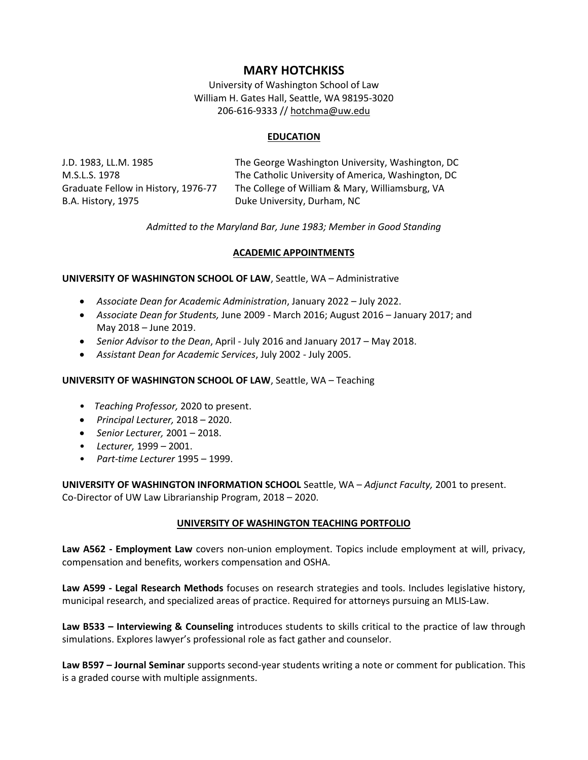# **MARY HOTCHKISS**

University of Washington School of Law William H. Gates Hall, Seattle, WA 98195-3020 206-616-9333 // [hotchma@uw.edu](mailto:hotchma@uw.edu)

## **EDUCATION**

B.A. History, 1975 **Duke University, Durham, NC** 

J.D. 1983, LL.M. 1985 The George Washington University, Washington, DC M.S.L.S. 1978 The Catholic University of America, Washington, DC Graduate Fellow in History, 1976-77 The College of William & Mary, Williamsburg, VA

*Admitted to the Maryland Bar, June 1983; Member in Good Standing*

# **ACADEMIC APPOINTMENTS**

### **UNIVERSITY OF WASHINGTON SCHOOL OF LAW**, Seattle, WA – Administrative

- *Associate Dean for Academic Administration*, January 2022 July 2022.
- *Associate Dean for Students,* June 2009 March 2016; August 2016 January 2017; and May 2018 – June 2019.
- *Senior Advisor to the Dean*, April July 2016 and January 2017 May 2018.
- *Assistant Dean for Academic Services*, July 2002 July 2005.

### **UNIVERSITY OF WASHINGTON SCHOOL OF LAW**, Seattle, WA – Teaching

- *Teaching Professor,* 2020 to present.
- *Principal Lecturer,* 2018 2020.
- *Senior Lecturer,* 2001 2018.
- *Lecturer,* 1999 2001.
- *Part-time Lecturer* 1995 1999.

**UNIVERSITY OF WASHINGTON INFORMATION SCHOOL** Seattle, WA – *Adjunct Faculty,* 2001 to present. Co-Director of UW Law Librarianship Program, 2018 – 2020.

### **UNIVERSITY OF WASHINGTON TEACHING PORTFOLIO**

**Law A562 - Employment Law** covers non-union employment. Topics include employment at will, privacy, compensation and benefits, workers compensation and OSHA.

**Law A599 - Legal Research Methods** focuses on research strategies and tools. Includes legislative history, municipal research, and specialized areas of practice. Required for attorneys pursuing an MLIS-Law.

**Law B533 – Interviewing & Counseling** introduces students to skills critical to the practice of law through simulations. Explores lawyer's professional role as fact gather and counselor.

**Law B597 – Journal Seminar** supports second-year students writing a note or comment for publication. This is a graded course with multiple assignments.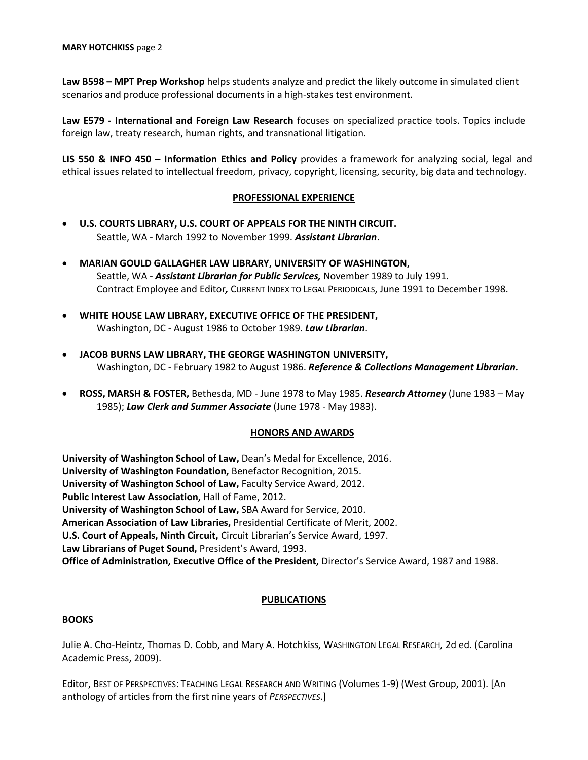**Law B598 – MPT Prep Workshop** helps students analyze and predict the likely outcome in simulated client scenarios and produce professional documents in a high-stakes test environment.

**Law E579 - International and Foreign Law Research** focuses on specialized practice tools. Topics include foreign law, treaty research, human rights, and transnational litigation.

**LIS 550 & INFO 450 – Information Ethics and Policy** provides a framework for analyzing social, legal and ethical issues related to intellectual freedom, privacy, copyright, licensing, security, big data and technology.

### **PROFESSIONAL EXPERIENCE**

- **U.S. COURTS LIBRARY, U.S. COURT OF APPEALS FOR THE NINTH CIRCUIT.** Seattle, WA - March 1992 to November 1999. *Assistant Librarian*.
- **MARIAN GOULD GALLAGHER LAW LIBRARY, UNIVERSITY OF WASHINGTON,** Seattle, WA - *Assistant Librarian for Public Services,* November 1989 to July 1991. Contract Employee and Editor*,* CURRENT INDEX TO LEGAL PERIODICALS, June 1991 to December 1998.
- **WHITE HOUSE LAW LIBRARY, EXECUTIVE OFFICE OF THE PRESIDENT,** Washington, DC - August 1986 to October 1989. *Law Librarian*.
- **JACOB BURNS LAW LIBRARY, THE GEORGE WASHINGTON UNIVERSITY,** Washington, DC - February 1982 to August 1986. *Reference & Collections Management Librarian.*
- **ROSS, MARSH & FOSTER,** Bethesda, MD June 1978 to May 1985. *Research Attorney* (June 1983 May 1985); *Law Clerk and Summer Associate* (June 1978 - May 1983).

### **HONORS AND AWARDS**

**University of Washington School of Law,** Dean's Medal for Excellence, 2016. **University of Washington Foundation,** Benefactor Recognition, 2015. **University of Washington School of Law,** Faculty Service Award, 2012. **Public Interest Law Association,** Hall of Fame, 2012. **University of Washington School of Law,** SBA Award for Service, 2010. **American Association of Law Libraries,** Presidential Certificate of Merit, 2002. **U.S. Court of Appeals, Ninth Circuit,** Circuit Librarian's Service Award, 1997. **Law Librarians of Puget Sound,** President's Award, 1993. **Office of Administration, Executive Office of the President,** Director's Service Award, 1987 and 1988.

# **PUBLICATIONS**

### **BOOKS**

Julie A. Cho-Heintz, Thomas D. Cobb, and Mary A. Hotchkiss, WASHINGTON LEGAL RESEARCH*,* 2d ed. (Carolina Academic Press, 2009).

Editor, BEST OF PERSPECTIVES: TEACHING LEGAL RESEARCH AND WRITING (Volumes 1-9) (West Group, 2001). [An anthology of articles from the first nine years of *PERSPECTIVES*.]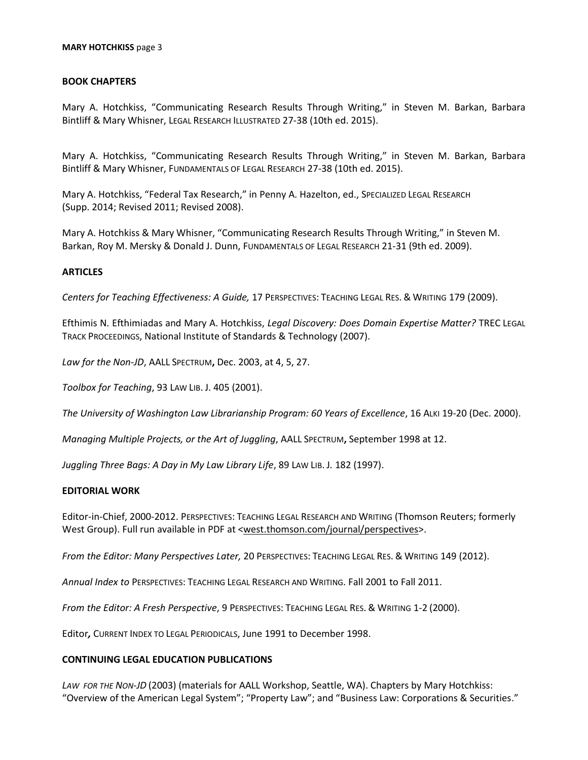#### **MARY HOTCHKISS** page 3

### **BOOK CHAPTERS**

Mary A. Hotchkiss, "Communicating Research Results Through Writing," in Steven M. Barkan, Barbara Bintliff & Mary Whisner, LEGAL RESEARCH ILLUSTRATED 27-38 (10th ed. 2015).

Mary A. Hotchkiss, "Communicating Research Results Through Writing," in Steven M. Barkan, Barbara Bintliff & Mary Whisner, FUNDAMENTALS OF LEGAL RESEARCH 27-38 (10th ed. 2015).

Mary A. Hotchkiss, "Federal Tax Research," in Penny A. Hazelton, ed., SPECIALIZED LEGAL RESEARCH (Supp. 2014; Revised 2011; Revised 2008).

Mary A. Hotchkiss & Mary Whisner, "Communicating Research Results Through Writing," in Steven M. Barkan, Roy M. Mersky & Donald J. Dunn, FUNDAMENTALS OF LEGAL RESEARCH 21-31 (9th ed. 2009).

### **ARTICLES**

*Centers for Teaching Effectiveness: A Guide,* 17 PERSPECTIVES: TEACHING LEGAL RES. & WRITING 179 (2009).

Efthimis N. Efthimiadas and Mary A. Hotchkiss, *Legal Discovery: Does Domain Expertise Matter?* TREC LEGAL TRACK PROCEEDINGS, National Institute of Standards & Technology (2007).

*Law for the Non-JD*, AALL SPECTRUM**,** Dec. 2003, at 4, 5, 27.

*Toolbox for Teaching*, 93 LAW LIB. J. 405 (2001).

*The University of Washington Law Librarianship Program: 60 Years of Excellence*, 16 ALKI 19-20 (Dec. 2000).

*Managing Multiple Projects, or the Art of Juggling*, AALL SPECTRUM**,** September 1998 at 12.

*Juggling Three Bags: A Day in My Law Library Life*, 89 LAW LIB. J*.* 182 (1997).

#### **EDITORIAL WORK**

Editor-in-Chief, 2000-2012. PERSPECTIVES: TEACHING LEGAL RESEARCH AND WRITING (Thomson Reuters; formerly West Group). Full run available in PDF at [<west.thomson.com/journal/perspectives>](http://west.thomson.com/journal/perspectives).

*From the Editor: Many Perspectives Later,* 20 PERSPECTIVES: TEACHING LEGAL RES. & WRITING 149 (2012).

*Annual Index to* PERSPECTIVES: TEACHING LEGAL RESEARCH AND WRITING. Fall 2001 to Fall 2011.

*From the Editor: A Fresh Perspective*, 9 PERSPECTIVES: TEACHING LEGAL RES. & WRITING 1-2 (2000).

Editor*,* CURRENT INDEX TO LEGAL PERIODICALS, June 1991 to December 1998.

### **CONTINUING LEGAL EDUCATION PUBLICATIONS**

*LAW FOR THE NON-JD* (2003) (materials for AALL Workshop, Seattle, WA). Chapters by Mary Hotchkiss: "Overview of the American Legal System"; "Property Law"; and "Business Law: Corporations & Securities."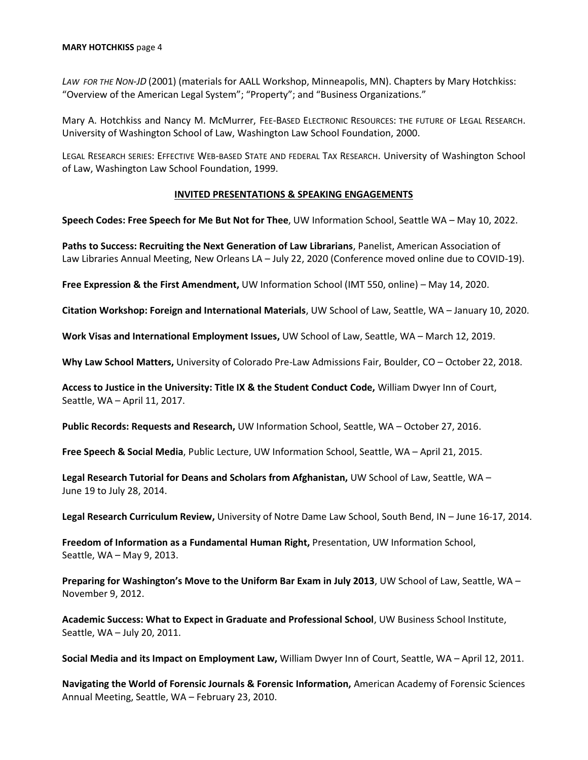#### **MARY HOTCHKISS** page 4

*LAW FOR THE NON-JD* (2001) (materials for AALL Workshop, Minneapolis, MN). Chapters by Mary Hotchkiss: "Overview of the American Legal System"; "Property"; and "Business Organizations."

Mary A. Hotchkiss and Nancy M. McMurrer, FEE-BASED ELECTRONIC RESOURCES: THE FUTURE OF LEGAL RESEARCH. University of Washington School of Law, Washington Law School Foundation, 2000.

LEGAL RESEARCH SERIES: EFFECTIVE WEB-BASED STATE AND FEDERAL TAX RESEARCH. University of Washington School of Law, Washington Law School Foundation, 1999.

### **INVITED PRESENTATIONS & SPEAKING ENGAGEMENTS**

**Speech Codes: Free Speech for Me But Not for Thee**, UW Information School, Seattle WA – May 10, 2022.

**Paths to Success: Recruiting the Next Generation of Law Librarians**, Panelist, American Association of Law Libraries Annual Meeting, New Orleans LA – July 22, 2020 (Conference moved online due to COVID-19).

**Free Expression & the First Amendment,** UW Information School (IMT 550, online) – May 14, 2020.

**Citation Workshop: Foreign and International Materials**, UW School of Law, Seattle, WA – January 10, 2020.

**Work Visas and International Employment Issues,** UW School of Law, Seattle, WA – March 12, 2019.

**Why Law School Matters,** University of Colorado Pre-Law Admissions Fair, Boulder, CO – October 22, 2018.

**Access to Justice in the University: Title IX & the Student Conduct Code,** William Dwyer Inn of Court, Seattle, WA – April 11, 2017.

**Public Records: Requests and Research,** UW Information School, Seattle, WA – October 27, 2016.

**Free Speech & Social Media**, Public Lecture, UW Information School, Seattle, WA – April 21, 2015.

**Legal Research Tutorial for Deans and Scholars from Afghanistan,** UW School of Law, Seattle, WA – June 19 to July 28, 2014.

**Legal Research Curriculum Review,** University of Notre Dame Law School, South Bend, IN – June 16-17, 2014.

**Freedom of Information as a Fundamental Human Right,** Presentation, UW Information School, Seattle, WA – May 9, 2013.

**Preparing for Washington's Move to the Uniform Bar Exam in July 2013**, UW School of Law, Seattle, WA – November 9, 2012.

**Academic Success: What to Expect in Graduate and Professional School**, UW Business School Institute, Seattle, WA – July 20, 2011.

**Social Media and its Impact on Employment Law,** William Dwyer Inn of Court, Seattle, WA – April 12, 2011.

**Navigating the World of Forensic Journals & Forensic Information,** American Academy of Forensic Sciences Annual Meeting, Seattle, WA – February 23, 2010.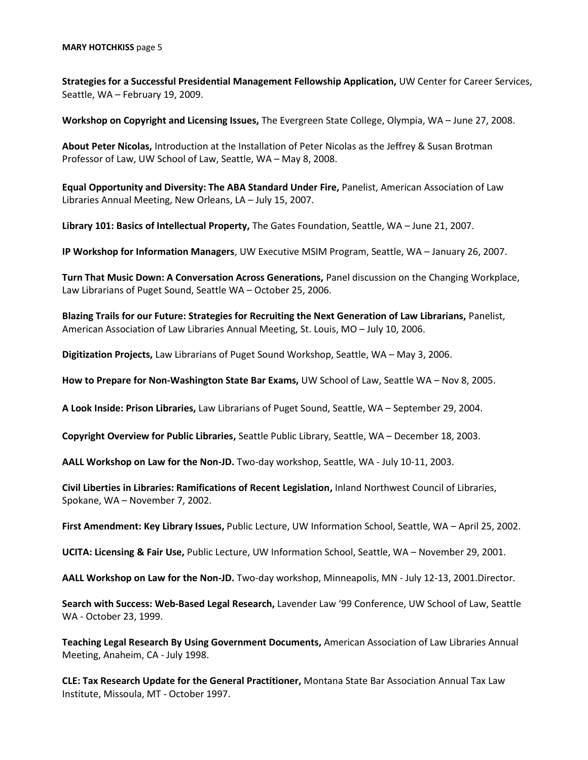**Strategies for a Successful Presidential Management Fellowship Application,** UW Center for Career Services, Seattle, WA – February 19, 2009.

**Workshop on Copyright and Licensing Issues,** The Evergreen State College, Olympia, WA – June 27, 2008.

**About Peter Nicolas,** Introduction at the Installation of Peter Nicolas as the Jeffrey & Susan Brotman Professor of Law, UW School of Law, Seattle, WA – May 8, 2008.

**Equal Opportunity and Diversity: The ABA Standard Under Fire,** Panelist, American Association of Law Libraries Annual Meeting, New Orleans, LA – July 15, 2007.

**Library 101: Basics of Intellectual Property,** The Gates Foundation, Seattle, WA – June 21, 2007.

**IP Workshop for Information Managers**, UW Executive MSIM Program, Seattle, WA – January 26, 2007.

**Turn That Music Down: A Conversation Across Generations,** Panel discussion on the Changing Workplace, Law Librarians of Puget Sound, Seattle WA – October 25, 2006.

**Blazing Trails for our Future: Strategies for Recruiting the Next Generation of Law Librarians,** Panelist, American Association of Law Libraries Annual Meeting, St. Louis, MO – July 10, 2006.

**Digitization Projects,** Law Librarians of Puget Sound Workshop, Seattle, WA – May 3, 2006.

**How to Prepare for Non-Washington State Bar Exams,** UW School of Law, Seattle WA – Nov 8, 2005.

**A Look Inside: Prison Libraries,** Law Librarians of Puget Sound, Seattle, WA – September 29, 2004.

**Copyright Overview for Public Libraries,** Seattle Public Library, Seattle, WA – December 18, 2003.

**AALL Workshop on Law for the Non-JD.** Two-day workshop, Seattle, WA - July 10-11, 2003.

**Civil Liberties in Libraries: Ramifications of Recent Legislation,** Inland Northwest Council of Libraries, Spokane, WA – November 7, 2002.

**First Amendment: Key Library Issues,** Public Lecture, UW Information School, Seattle, WA – April 25, 2002.

**UCITA: Licensing & Fair Use,** Public Lecture, UW Information School, Seattle, WA – November 29, 2001.

**AALL Workshop on Law for the Non-JD.** Two-day workshop, Minneapolis, MN - July 12-13, 2001.Director.

**Search with Success: Web-Based Legal Research,** Lavender Law '99 Conference, UW School of Law, Seattle WA - October 23, 1999.

**Teaching Legal Research By Using Government Documents,** American Association of Law Libraries Annual Meeting, Anaheim, CA - July 1998.

**CLE: Tax Research Update for the General Practitioner,** Montana State Bar Association Annual Tax Law Institute, Missoula, MT - October 1997.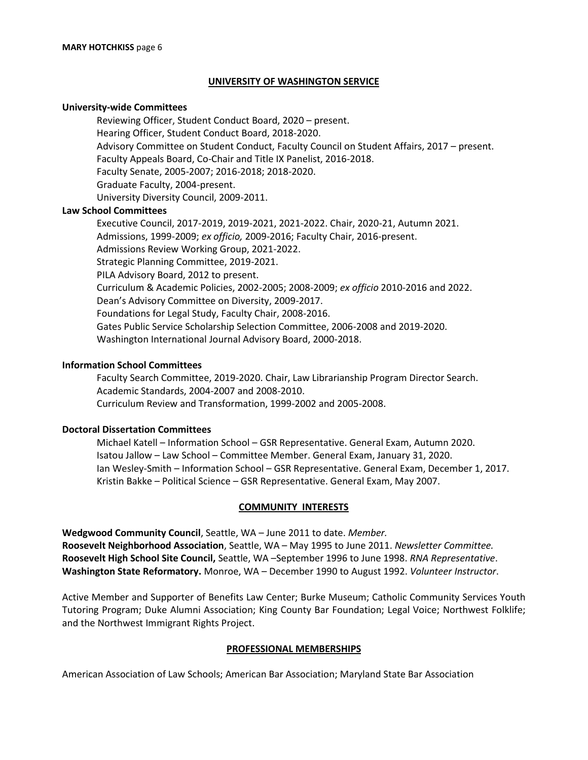### **UNIVERSITY OF WASHINGTON SERVICE**

#### **University-wide Committees**

Reviewing Officer, Student Conduct Board, 2020 – present. Hearing Officer, Student Conduct Board, 2018-2020. Advisory Committee on Student Conduct, Faculty Council on Student Affairs, 2017 – present. Faculty Appeals Board, Co-Chair and Title IX Panelist, 2016-2018. Faculty Senate, 2005-2007; 2016-2018; 2018-2020. Graduate Faculty, 2004-present. University Diversity Council, 2009-2011.

#### **Law School Committees**

Executive Council, 2017-2019, 2019-2021, 2021-2022. Chair, 2020-21, Autumn 2021. Admissions, 1999-2009; *ex officio,* 2009-2016; Faculty Chair, 2016-present. Admissions Review Working Group, 2021-2022. Strategic Planning Committee, 2019-2021. PILA Advisory Board, 2012 to present. Curriculum & Academic Policies, 2002-2005; 2008-2009; *ex officio* 2010-2016 and 2022. Dean's Advisory Committee on Diversity, 2009-2017. Foundations for Legal Study, Faculty Chair, 2008-2016. Gates Public Service Scholarship Selection Committee, 2006-2008 and 2019-2020. Washington International Journal Advisory Board, 2000-2018.

#### **Information School Committees**

Faculty Search Committee, 2019-2020. Chair, Law Librarianship Program Director Search. Academic Standards, 2004-2007 and 2008-2010. Curriculum Review and Transformation, 1999-2002 and 2005-2008.

#### **Doctoral Dissertation Committees**

Michael Katell – Information School – GSR Representative. General Exam, Autumn 2020. Isatou Jallow – Law School – Committee Member. General Exam, January 31, 2020. Ian Wesley-Smith – Information School – GSR Representative. General Exam, December 1, 2017. Kristin Bakke – Political Science – GSR Representative. General Exam, May 2007.

#### **COMMUNITY INTERESTS**

**Wedgwood Community Council**, Seattle, WA – June 2011 to date. *Member.* **Roosevelt Neighborhood Association**, Seattle, WA – May 1995 to June 2011. *Newsletter Committee.* **Roosevelt High School Site Council,** Seattle, WA –September 1996 to June 1998. *RNA Representative*. **Washington State Reformatory.** Monroe, WA – December 1990 to August 1992. *Volunteer Instructor*.

Active Member and Supporter of Benefits Law Center; Burke Museum; Catholic Community Services Youth Tutoring Program; Duke Alumni Association; King County Bar Foundation; Legal Voice; Northwest Folklife; and the Northwest Immigrant Rights Project.

### **PROFESSIONAL MEMBERSHIPS**

American Association of Law Schools; American Bar Association; Maryland State Bar Association